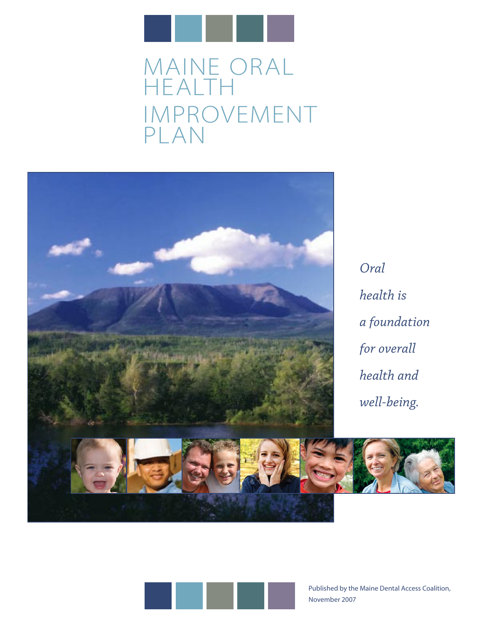# MAINE ORAL health Improvement Plan



*Oral health is a foundation for overall health and well-being.*





Published by the Maine Dental Access Coalition, November 2007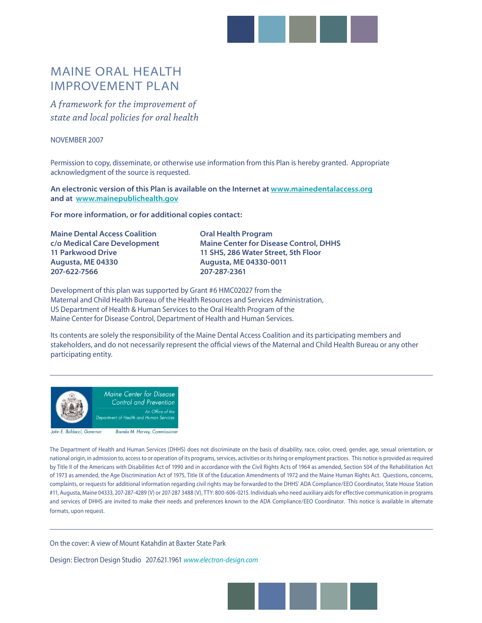

## <span id="page-1-0"></span>Maine Oral health Improvement Plan

*A framework for the improvement of state and local policies for oral health*

November 2007

Permission to copy, disseminate, or otherwise use information from this Plan is hereby granted. Appropriate acknowledgment of the source is requested.

An electronic version of this Plan is available on the Internet at<www.mainedentalaccess.org> and at <www.mainepublichealth.gov>

For more information, or for additional copies contact:

| <b>Oral Health Program</b>                    |
|-----------------------------------------------|
| <b>Maine Center for Disease Control, DHHS</b> |
| 11 SHS, 286 Water Street, 5th Floor           |
| <b>Augusta, ME 04330-0011</b>                 |
| 207-287-2361                                  |
|                                               |

Development of this plan was supported by Grant #6 HMC02027 from the Maternal and Child Health Bureau of the Health Resources and Services Administration, US Department of Health & Human Services to the Oral Health Program of the Maine Center for Disease Control, Department of Health and Human Services.

Its contents are solely the responsibility of the Maine Dental Access Coalition and its participating members and stakeholders, and do not necessarily represent the official views of the Maternal and Child Health Bureau or any other participating entity.



Brenda M. Harvey, Commissione John E. Baldacci, Governor

The Department of Health and Human Services (DHHS) does not discriminate on the basis of disability, race, color, creed, gender, age, sexual orientation, or national origin, in admission to, access to or operation of its programs, services, activities or its hiring or employment practices. This notice is provided as required by Title II of the Americans with Disabilities Act of 1990 and in accordance with the Civil Rights Acts of 1964 as amended, Section 504 of the Rehabilitation Act of 1973 as amended, the Age Discrimination Act of 1975, Title IX of the Education Amendments of 1972 and the Maine Human Rights Act. Questions, concerns, complaints, or requests for additional information regarding civil rights may be forwarded to the DHHS' ADA Compliance/EEO Coordinator, State House Station #11, Augusta, Maine 04333, 207-287-4289 (V) or 207-287 3488 (V), TTY: 800-606-0215. Individuals who need auxiliary aids for effective communication in programs and services of DHHS are invited to make their needs and preferences known to the ADA Compliance/EEO Coordinator. This notice is available in alternate formats, upon request.

On the cover: A view of Mount Katahdin at Baxter State Park

Design: Electron Design Studio 207.621.1961 *[www.electron-design.com](http://electron-design.com)*

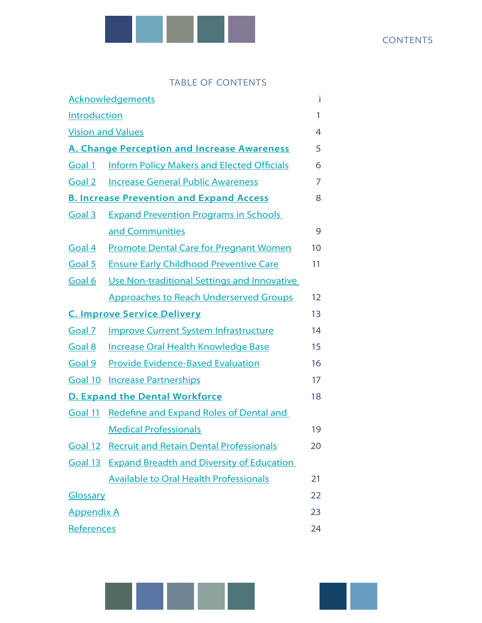

**CONTENTS** 

#### TABLE OF CONTENTS

| <b>Acknowledgements</b>                            |                                                   | ĭ  |
|----------------------------------------------------|---------------------------------------------------|----|
| Introduction                                       |                                                   | 1  |
|                                                    | <b>Vision and Values</b>                          | 4  |
| <b>A. Change Perception and Increase Awareness</b> |                                                   | 5  |
| Goal 1                                             | <b>Inform Policy Makers and Elected Officials</b> | 6  |
| Goal 2                                             | <b>Increase General Public Awareness</b>          | 7  |
|                                                    | <b>B. Increase Prevention and Expand Access</b>   | 8  |
| Goal 3                                             | <b>Expand Prevention Programs in Schools</b>      |    |
|                                                    | and Communities                                   | 9  |
| Goal 4                                             | <b>Promote Dental Care for Pregnant Women</b>     | 10 |
| Goal 5                                             | <b>Ensure Early Childhood Preventive Care</b>     | 11 |
| Goal 6                                             | Use Non-traditional Settings and Innovative       |    |
|                                                    | <b>Approaches to Reach Underserved Groups</b>     | 12 |
| <b>C. Improve Service Delivery</b>                 |                                                   | 13 |
| Goal 7                                             | <b>Improve Current System Infrastructure</b>      | 14 |
| Goal 8                                             | <b>Increase Oral Health Knowledge Base</b>        | 15 |
| Goal 9                                             | <b>Provide Evidence-Based Evaluation</b>          | 16 |
|                                                    | <b>Goal 10 Increase Partnerships</b>              | 17 |
| <b>D. Expand the Dental Workforce</b>              |                                                   | 18 |
| Goal 11                                            | Redefine and Expand Roles of Dental and           |    |
|                                                    | <b>Medical Professionals</b>                      | 19 |
|                                                    | Goal 12 Recruit and Retain Dental Professionals   | 20 |
|                                                    | Goal 13 Expand Breadth and Diversity of Education |    |
|                                                    | <b>Available to Oral Health Professionals</b>     | 21 |
| Glossary                                           |                                                   | 22 |
| <b>Appendix A</b>                                  |                                                   | 23 |
| References                                         |                                                   | 24 |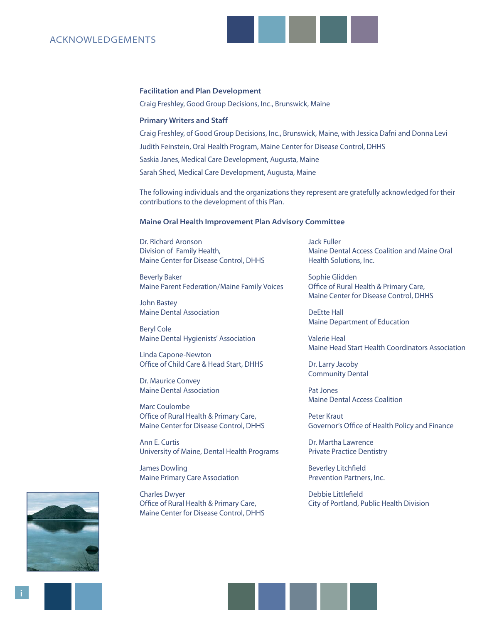### ACKNOWLEDGEments

#### Facilitation and Plan Development

Craig Freshley, Good Group Decisions, Inc., Brunswick, Maine

#### Primary Writers and Staff

Craig Freshley, of Good Group Decisions, Inc., Brunswick, Maine, with Jessica Dafni and Donna Levi Judith Feinstein, Oral Health Program, Maine Center for Disease Control, DHHS Saskia Janes, Medical Care Development, Augusta, Maine Sarah Shed, Medical Care Development, Augusta, Maine

The following individuals and the organizations they represent are gratefully acknowledged for their contributions to the development of this Plan.

#### Maine Oral Health Improvement Plan Advisory Committee

Dr. Richard Aronson Division of Family Health, Maine Center for Disease Control, DHHS

Beverly Baker Maine Parent Federation/Maine Family Voices

John Bastey Maine Dental Association

Beryl Cole Maine Dental Hygienists' Association

Linda Capone-Newton Office of Child Care & Head Start, DHHS

Dr. Maurice Convey Maine Dental Association

Marc Coulombe Office of Rural Health & Primary Care, Maine Center for Disease Control, DHHS

Ann E. Curtis University of Maine, Dental Health Programs

James Dowling Maine Primary Care Association

Office of Rural Health & Primary Care, Maine Center for Disease Control, DHHS Jack Fuller Maine Dental Access Coalition and Maine Oral Health Solutions, Inc.

Sophie Glidden Office of Rural Health & Primary Care, Maine Center for Disease Control, DHHS

DeEtte Hall Maine Department of Education

Valerie Heal Maine Head Start Health Coordinators Association

Dr. Larry Jacoby Community Dental

Pat Jones Maine Dental Access Coalition

Peter Kraut Governor's Office of Health Policy and Finance

Dr. Martha Lawrence Private Practice Dentistry

Beverley Litchfield Prevention Partners, Inc.

Debbie Littlefield City of Portland, Public Health Division





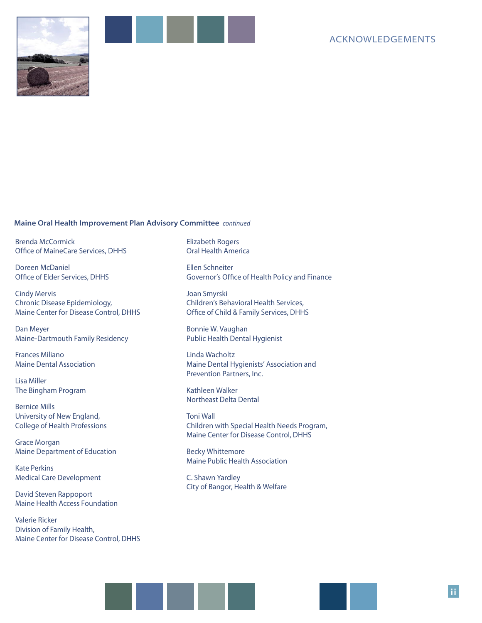



#### Maine Oral Health Improvement Plan Advisory Committee *continued*

Brenda McCormick Office of MaineCare Services, DHHS

Doreen McDaniel Office of Elder Services, DHHS

Cindy Mervis Chronic Disease Epidemiology, Maine Center for Disease Control, DHHS

Dan Meyer Maine-Dartmouth Family Residency

Frances Miliano Maine Dental Association

Lisa Miller The Bingham Program

Bernice Mills University of New England, College of Health Professions

Grace Morgan Maine Department of Education

Kate Perkins Medical Care Development

David Steven Rappoport Maine Health Access Foundation

Valerie Ricker Division of Family Health, Maine Center for Disease Control, DHHS Elizabeth Rogers Oral Health America

Ellen Schneiter Governor's Office of Health Policy and Finance

Joan Smyrski Children's Behavioral Health Services, Office of Child & Family Services, DHHS

Bonnie W. Vaughan Public Health Dental Hygienist

Linda Wacholtz Maine Dental Hygienists' Association and Prevention Partners, Inc.

Kathleen Walker Northeast Delta Dental

Toni Wall Children with Special Health Needs Program, Maine Center for Disease Control, DHHS

Becky Whittemore Maine Public Health Association

C. Shawn Yardley City of Bangor, Health & Welfare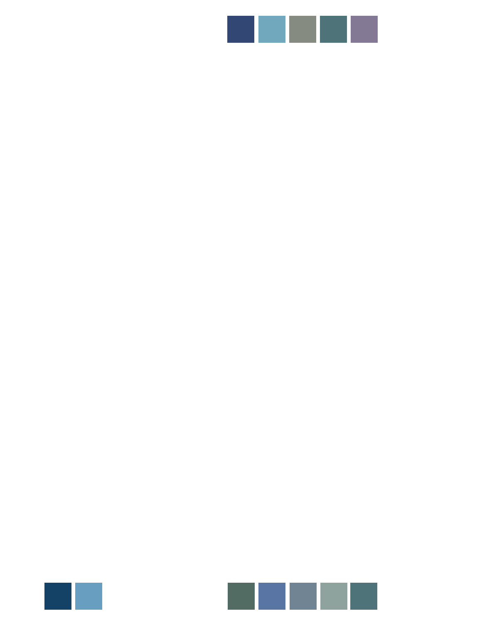

a katika s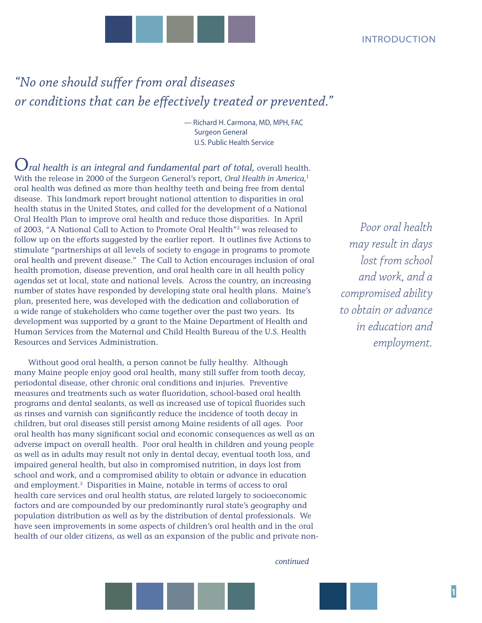**INTRODUCTION** 

# <span id="page-6-0"></span>*"No one should suffer from oral diseases or conditions that can be effectively treated or prevented."*

— Richard H. Carmona, MD, MPH, FAC Surgeon General U.S. Public Health Service

O*ral health is an integral and fundamental part of total,* overall health. With the release in 2000 of the Surgeon General's report, *Oral Health in America,*<sup>1</sup> oral health was defined as more than healthy teeth and being free from dental disease. This landmark report brought national attention to disparities in oral health status in the United States, and called for the development of a National Oral Health Plan to improve oral health and reduce those disparities. In April of 2003, "A National Call to Action to Promote Oral Health"2 was released to follow up on the efforts suggested by the earlier report. It outlines five Actions to stimulate "partnerships at all levels of society to engage in programs to promote oral health and prevent disease." The Call to Action encourages inclusion of oral health promotion, disease prevention, and oral health care in all health policy agendas set at local, state and national levels. Across the country, an increasing number of states have responded by developing state oral health plans. Maine's plan, presented here, was developed with the dedication and collaboration of a wide range of stakeholders who came together over the past two years. Its development was supported by a grant to the Maine Department of Health and Human Services from the Maternal and Child Health Bureau of the U.S. Health Resources and Services Administration.

Without good oral health, a person cannot be fully healthy. Although many Maine people enjoy good oral health, many still suffer from tooth decay, periodontal disease, other chronic oral conditions and injuries. Preventive measures and treatments such as water fluoridation, school-based oral health programs and dental sealants, as well as increased use of topical fluorides such as rinses and varnish can significantly reduce the incidence of tooth decay in children, but oral diseases still persist among Maine residents of all ages. Poor oral health has many significant social and economic consequences as well as an adverse impact on overall health. Poor oral health in children and young people as well as in adults may result not only in dental decay, eventual tooth loss, and impaired general health, but also in compromised nutrition, in days lost from school and work, and a compromised ability to obtain or advance in education and employment.3 Disparities in Maine, notable in terms of access to oral health care services and oral health status, are related largely to socioeconomic factors and are compounded by our predominantly rural state's geography and population distribution as well as by the distribution of dental professionals. We have seen improvements in some aspects of children's oral health and in the oral health of our older citizens, as well as an expansion of the public and private non-

*Poor oral health may result in days lost from school and work, and a compromised ability to obtain or advance in education and employment.* 

*continued*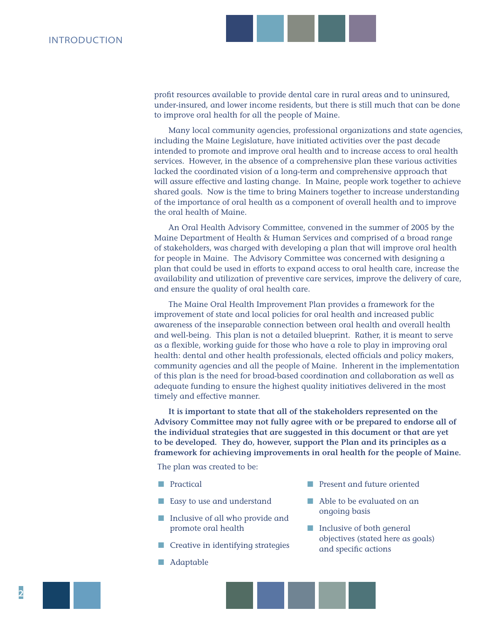profit resources available to provide dental care in rural areas and to uninsured, under-insured, and lower income residents, but there is still much that can be done to improve oral health for all the people of Maine.

Many local community agencies, professional organizations and state agencies, including the Maine Legislature, have initiated activities over the past decade intended to promote and improve oral health and to increase access to oral health services. However, in the absence of a comprehensive plan these various activities lacked the coordinated vision of a long-term and comprehensive approach that will assure effective and lasting change. In Maine, people work together to achieve shared goals. Now is the time to bring Mainers together to increase understanding of the importance of oral health as a component of overall health and to improve the oral health of Maine.

An Oral Health Advisory Committee, convened in the summer of 2005 by the Maine Department of Health & Human Services and comprised of a broad range of stakeholders, was charged with developing a plan that will improve oral health for people in Maine. The Advisory Committee was concerned with designing a plan that could be used in efforts to expand access to oral health care, increase the availability and utilization of preventive care services, improve the delivery of care, and ensure the quality of oral health care.

The Maine Oral Health Improvement Plan provides a framework for the improvement of state and local policies for oral health and increased public awareness of the inseparable connection between oral health and overall health and well-being. This plan is not a detailed blueprint. Rather, it is meant to serve as a flexible, working guide for those who have a role to play in improving oral health: dental and other health professionals, elected officials and policy makers, community agencies and all the people of Maine. Inherent in the implementation of this plan is the need for broad-based coordination and collaboration as well as adequate funding to ensure the highest quality initiatives delivered in the most timely and effective manner.

**It is important to state that all of the stakeholders represented on the Advisory Committee may not fully agree with or be prepared to endorse all of the individual strategies that are suggested in this document or that are yet to be developed. They do, however, support the Plan and its principles as a framework for achieving improvements in oral health for the people of Maine.**

The plan was created to be:

- Practical
- Easy to use and understand
- Inclusive of all who provide and promote oral health
- Creative in identifying strategies
- Adaptable
- Present and future oriented
- Able to be evaluated on an ongoing basis
- Inclusive of both general objectives (stated here as goals) and specific actions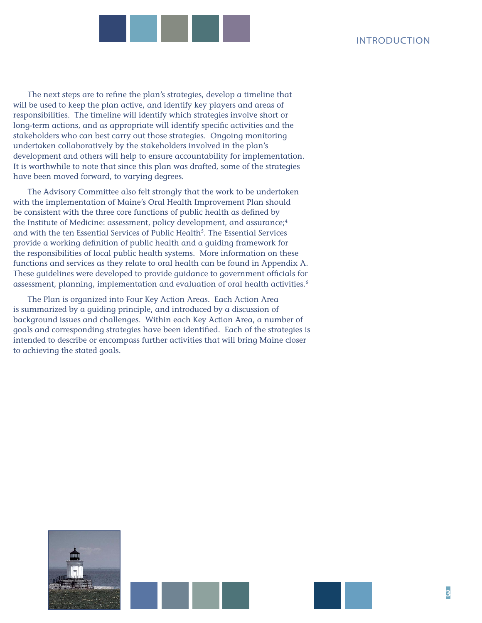



The next steps are to refine the plan's strategies, develop a timeline that will be used to keep the plan active, and identify key players and areas of responsibilities. The timeline will identify which strategies involve short or long-term actions, and as appropriate will identify specific activities and the stakeholders who can best carry out those strategies. Ongoing monitoring undertaken collaboratively by the stakeholders involved in the plan's development and others will help to ensure accountability for implementation. It is worthwhile to note that since this plan was drafted, some of the strategies have been moved forward, to varying degrees.

The Advisory Committee also felt strongly that the work to be undertaken with the implementation of Maine's Oral Health Improvement Plan should be consistent with the three core functions of public health as defined by the Institute of Medicine: assessment, policy development, and assurance;<sup>4</sup> and with the ten Essential Services of Public Health<sup>5</sup>. The Essential Services provide a working definition of public health and a guiding framework for the responsibilities of local public health systems. More information on these functions and services as they relate to oral health can be found in Appendix A. These guidelines were developed to provide guidance to government officials for assessment, planning, implementation and evaluation of oral health activities.<sup>6</sup>

The Plan is organized into Four Key Action Areas. Each Action Area is summarized by a guiding principle, and introduced by a discussion of background issues and challenges. Within each Key Action Area, a number of goals and corresponding strategies have been identified. Each of the strategies is intended to describe or encompass further activities that will bring Maine closer to achieving the stated goals.

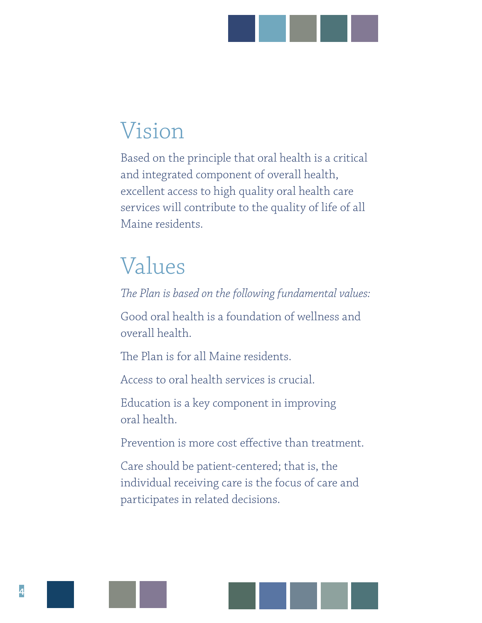

# <span id="page-9-0"></span>Vision

Based on the principle that oral health is a critical and integrated component of overall health, excellent access to high quality oral health care services will contribute to the quality of life of all Maine residents.

# Values

*The Plan is based on the following fundamental values:*

Good oral health is a foundation of wellness and overall health.

The Plan is for all Maine residents.

Access to oral health services is crucial.

Education is a key component in improving oral health.

Prevention is more cost effective than treatment.

Care should be patient-centered; that is, the individual receiving care is the focus of care and participates in related decisions.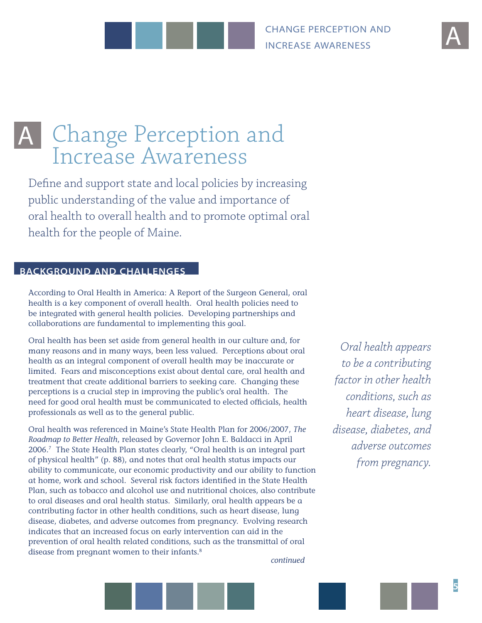

# <span id="page-10-0"></span>A Change Perception and Increase Awareness

Define and support state and local policies by increasing public understanding of the value and importance of oral health to overall health and to promote optimal oral health for the people of Maine.

#### Background and Challenges

According to Oral Health in America: A Report of the Surgeon General, oral health is a key component of overall health. Oral health policies need to be integrated with general health policies. Developing partnerships and collaborations are fundamental to implementing this goal.

Oral health has been set aside from general health in our culture and, for many reasons and in many ways, been less valued. Perceptions about oral health as an integral component of overall health may be inaccurate or limited. Fears and misconceptions exist about dental care, oral health and treatment that create additional barriers to seeking care. Changing these perceptions is a crucial step in improving the public's oral health. The need for good oral health must be communicated to elected officials, health professionals as well as to the general public.

Oral health was referenced in Maine's State Health Plan for 2006/2007, *The Roadmap to Better Health*, released by Governor John E. Baldacci in April 2006.7 The State Health Plan states clearly, "Oral health is an integral part of physical health" (p. 88), and notes that oral health status impacts our ability to communicate, our economic productivity and our ability to function at home, work and school. Several risk factors identified in the State Health Plan, such as tobacco and alcohol use and nutritional choices, also contribute to oral diseases and oral health status. Similarly, oral health appears be a contributing factor in other health conditions, such as heart disease, lung disease, diabetes, and adverse outcomes from pregnancy. Evolving research indicates that an increased focus on early intervention can aid in the prevention of oral health related conditions, such as the transmittal of oral disease from pregnant women to their infants.<sup>8</sup>

*Oral health appears to be a contributing factor in other health conditions, such as heart disease, lung disease, diabetes, and adverse outcomes from pregnancy.*

*continued*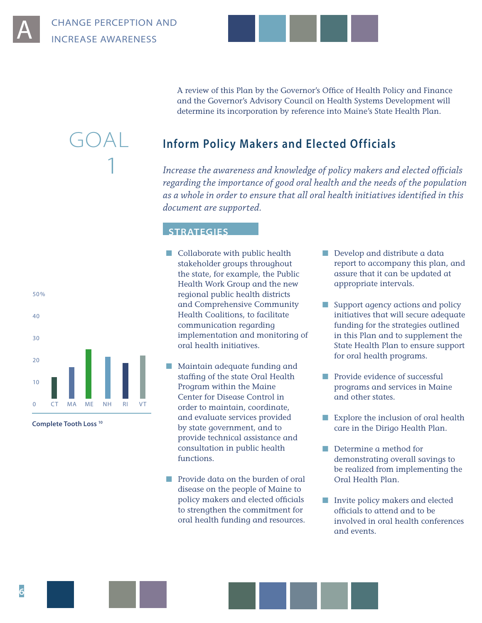# <span id="page-11-0"></span> $(A \cap C)$ 1

A review of this Plan by the Governor's Office of Health Policy and Finance and the Governor's Advisory Council on Health Systems Development will determine its incorporation by reference into Maine's State Health Plan.

## Inform Policy Makers and Elected Officials

*Increase the awareness and knowledge of policy makers and elected officials regarding the importance of good oral health and the needs of the population as a whole in order to ensure that all oral health initiatives identified in this document are supported.* 

#### **STRATEGIES**

50 % 40 30  $20$ 10 0 CT MA ME NH RI VT

- Collaborate with public health stakeholder groups throughout the state, for example, the Public Health Work Group and the new regional public health districts and Comprehensive Community Health Coalitions, to facilitate communication regarding implementation and monitoring of oral health initiatives.
- Maintain adequate funding and staffing of the state Oral Health Program within the Maine Center for Disease Control in order to maintain, coordinate, and evaluate services provided by state government, and to provide technical assistance and consultation in public health functions. ■
- Provide data on the burden of oral disease on the people of Maine to policy makers and elected officials to strengthen the commitment for oral health funding and resources.
- Develop and distribute a data report to accompany this plan, and assure that it can be updated at appropriate intervals.
- Support agency actions and policy initiatives that will secure adequate funding for the strategies outlined in this Plan and to supplement the State Health Plan to ensure support for oral health programs. ■
- Provide evidence of successful programs and services in Maine and other states.
- Explore the inclusion of oral health care in the Dirigo Health Plan.
- Determine a method for demonstrating overall savings to be realized from implementing the Oral Health Plan.
- Invite policy makers and elected officials to attend and to be involved in oral health conferences and events. ■

Complete Tooth Loss 10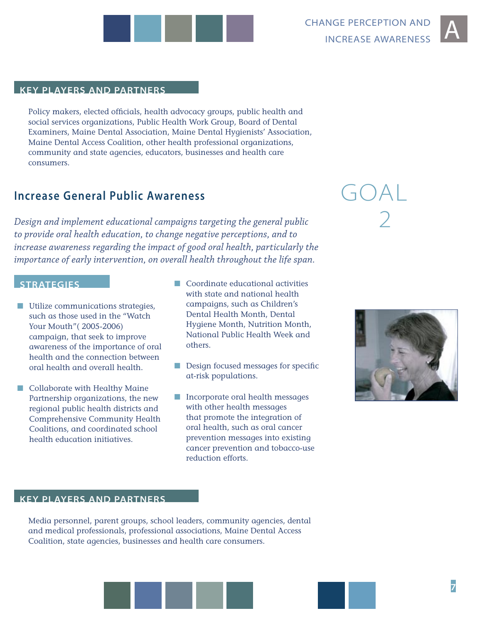



#### <span id="page-12-0"></span>Key Players and Partners

Policy makers, elected officials, health advocacy groups, public health and social services organizations, Public Health Work Group, Board of Dental Examiners, Maine Dental Association, Maine Dental Hygienists' Association, Maine Dental Access Coalition, other health professional organizations, community and state agencies, educators, businesses and health care consumers.

## Increase General Public Awareness

*Design and implement educational campaigns targeting the general public to provide oral health education, to change negative perceptions, and to increase awareness regarding the impact of good oral health, particularly the importance of early intervention, on overall health throughout the life span.*

#### **STRATEGIES**

- Utilize communications strategies, such as those used in the "Watch Your Mouth"( 2005-2006) campaign, that seek to improve awareness of the importance of oral health and the connection between oral health and overall health.
- Collaborate with Healthy Maine Partnership organizations, the new regional public health districts and Comprehensive Community Health Coalitions, and coordinated school health education initiatives.
- Coordinate educational activities with state and national health campaigns, such as Children's Dental Health Month, Dental Hygiene Month, Nutrition Month, National Public Health Week and others.
- Design focused messages for specific at-risk populations.
- Incorporate oral health messages with other health messages that promote the integration of oral health, such as oral cancer prevention messages into existing cancer prevention and tobacco-use reduction efforts. ■





#### Key Players and Partners

Media personnel, parent groups, school leaders, community agencies, dental and medical professionals, professional associations, Maine Dental Access Coalition, state agencies, businesses and health care consumers.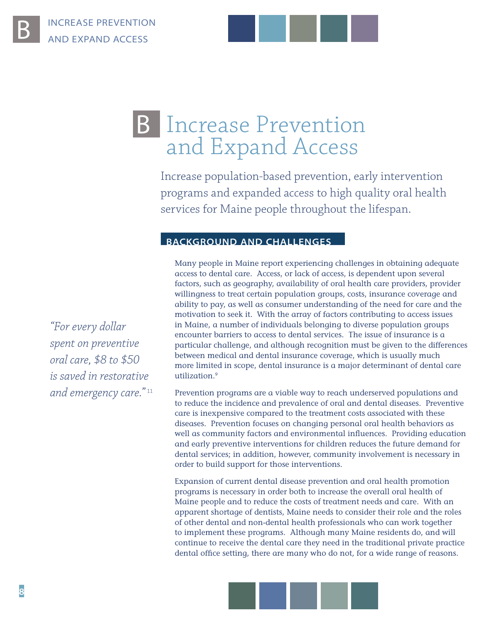

# <span id="page-13-0"></span>B Increase Prevention and Expand Access

Increase population-based prevention, early intervention programs and expanded access to high quality oral health services for Maine people throughout the lifespan.

#### Background and Challenges

*"For every dollar spent on preventive oral care, \$8 to \$50 is saved in restorative and emergency care."* 11

Many people in Maine report experiencing challenges in obtaining adequate access to dental care. Access, or lack of access, is dependent upon several factors, such as geography, availability of oral health care providers, provider willingness to treat certain population groups, costs, insurance coverage and ability to pay, as well as consumer understanding of the need for care and the motivation to seek it. With the array of factors contributing to access issues in Maine, a number of individuals belonging to diverse population groups encounter barriers to access to dental services. The issue of insurance is a particular challenge, and although recognition must be given to the differences between medical and dental insurance coverage, which is usually much more limited in scope, dental insurance is a major determinant of dental care utilization.<sup>9</sup>

Prevention programs are a viable way to reach underserved populations and to reduce the incidence and prevalence of oral and dental diseases. Preventive care is inexpensive compared to the treatment costs associated with these diseases. Prevention focuses on changing personal oral health behaviors as well as community factors and environmental influences. Providing education and early preventive interventions for children reduces the future demand for dental services; in addition, however, community involvement is necessary in order to build support for those interventions.

Expansion of current dental disease prevention and oral health promotion programs is necessary in order both to increase the overall oral health of Maine people and to reduce the costs of treatment needs and care. With an apparent shortage of dentists, Maine needs to consider their role and the roles of other dental and non-dental health professionals who can work together to implement these programs. Although many Maine residents do, and will continue to receive the dental care they need in the traditional private practice dental office setting, there are many who do not, for a wide range of reasons.

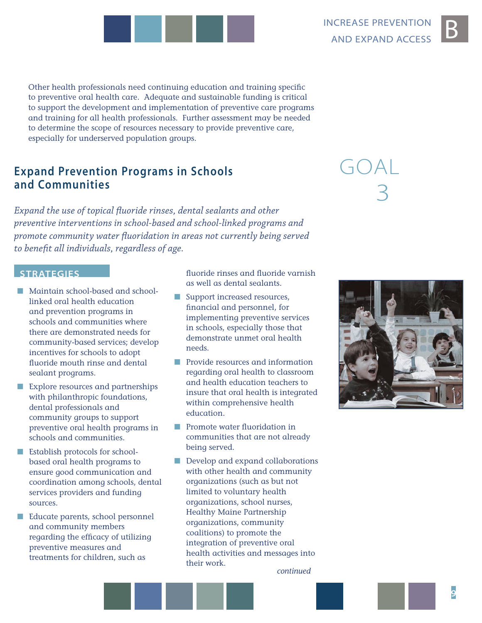<span id="page-14-0"></span>Other health professionals need continuing education and training specific to preventive oral health care. Adequate and sustainable funding is critical to support the development and implementation of preventive care programs and training for all health professionals. Further assessment may be needed to determine the scope of resources necessary to provide preventive care, especially for underserved population groups.

## Expand Prevention Programs in Schools and Communities

*Expand the use of topical fluoride rinses, dental sealants and other preventive interventions in school-based and school-linked programs and promote community water fluoridation in areas not currently being served to benefit all individuals, regardless of age.* 

#### **STRATEGIES**

- Maintain school-based and schoollinked oral health education and prevention programs in schools and communities where there are demonstrated needs for community-based services; develop incentives for schools to adopt fluoride mouth rinse and dental sealant programs.
- Explore resources and partnerships with philanthropic foundations, dental professionals and community groups to support preventive oral health programs in schools and communities.
- Establish protocols for schoolbased oral health programs to ensure good communication and coordination among schools, dental services providers and funding sources.
- Educate parents, school personnel and community members regarding the efficacy of utilizing preventive measures and treatments for children, such as

fluoride rinses and fluoride varnish as well as dental sealants.

- Support increased resources, financial and personnel, for implementing preventive services in schools, especially those that demonstrate unmet oral health needs.
- Provide resources and information regarding oral health to classroom and health education teachers to insure that oral health is integrated within comprehensive health education.
- Promote water fluoridation in communities that are not already being served.
- Develop and expand collaborations with other health and community organizations (such as but not limited to voluntary health organizations, school nurses, Healthy Maine Partnership organizations, community coalitions) to promote the integration of preventive oral health activities and messages into their work.

# $GO$ AL 3



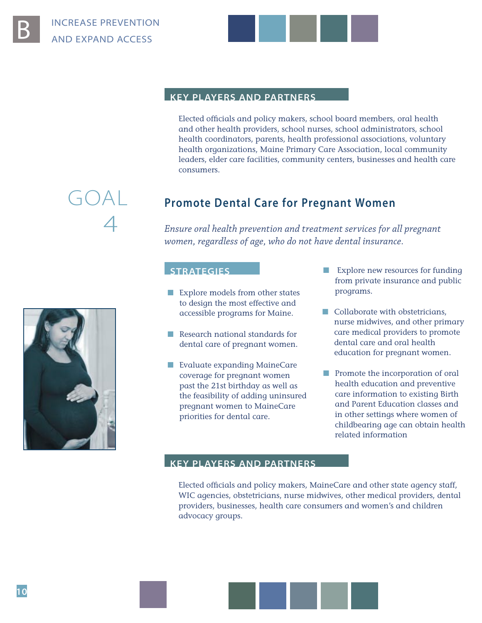

#### <span id="page-15-0"></span>Key Players and Partners

Elected officials and policy makers, school board members, oral health and other health providers, school nurses, school administrators, school health coordinators, parents, health professional associations, voluntary health organizations, Maine Primary Care Association, local community leaders, elder care facilities, community centers, businesses and health care consumers.

 GOAL 4

## Promote Dental Care for Pregnant Women

*Ensure oral health prevention and treatment services for all pregnant women, regardless of age, who do not have dental insurance.*

#### **STRATEGIES**

- Explore models from other states to design the most effective and accessible programs for Maine.
- Research national standards for dental care of pregnant women.
- Evaluate expanding MaineCare coverage for pregnant women past the 21st birthday as well as the feasibility of adding uninsured pregnant women to MaineCare priorities for dental care.
- Explore new resources for funding from private insurance and public programs.
- Collaborate with obstetricians, nurse midwives, and other primary care medical providers to promote dental care and oral health education for pregnant women.
- Promote the incorporation of oral health education and preventive care information to existing Birth and Parent Education classes and in other settings where women of childbearing age can obtain health related information

#### Key Players and Partners

Elected officials and policy makers, MaineCare and other state agency staff, WIC agencies, obstetricians, nurse midwives, other medical providers, dental providers, businesses, health care consumers and women's and children advocacy groups.

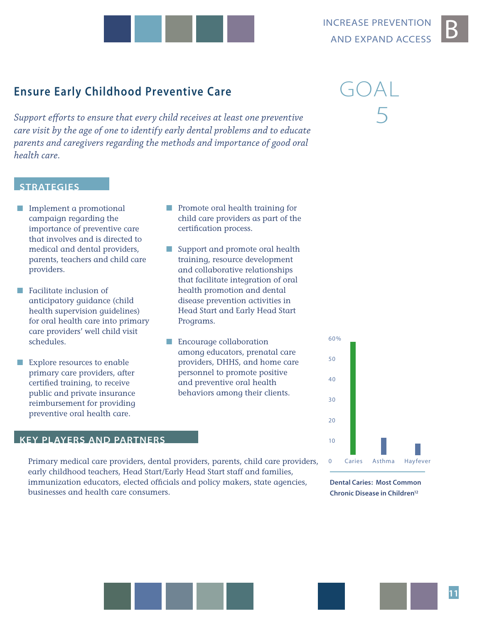

## <span id="page-16-0"></span>Ensure Early Childhood Preventive Care

*Support efforts to ensure that every child receives at least one preventive care visit by the age of one to identify early dental problems and to educate parents and caregivers regarding the methods and importance of good oral health care.*

# GOAL 5

#### **STRATEGIES**

- Implement a promotional campaign regarding the importance of preventive care that involves and is directed to medical and dental providers, parents, teachers and child care providers.
- Facilitate inclusion of anticipatory guidance (child health supervision guidelines) for oral health care into primary care providers' well child visit schedules.
- Explore resources to enable primary care providers, after certified training, to receive public and private insurance reimbursement for providing preventive oral health care.
- Promote oral health training for child care providers as part of the certification process.
- Support and promote oral health training, resource development and collaborative relationships that facilitate integration of oral health promotion and dental disease prevention activities in Head Start and Early Head Start Programs. ■
- Encourage collaboration among educators, prenatal care providers, DHHS, and home care personnel to promote positive and preventive oral health behaviors among their clients. ■



#### Key Players and Partners

Primary medical care providers, dental providers, parents, child care providers, early childhood teachers, Head Start/Early Head Start staff and families, immunization educators, elected officials and policy makers, state agencies, businesses and health care consumers.

Dental Caries: Most Common Chronic Disease in Children<sup>12</sup>

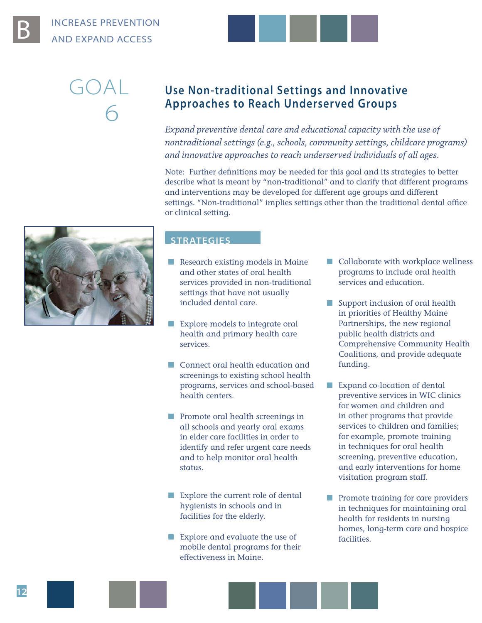# <span id="page-17-0"></span> $G()A$ 6

## Use Non-traditional Settings and Innovative Approaches to Reach Underserved Groups

*Expand preventive dental care and educational capacity with the use of nontraditional settings (e.g., schools, community settings, childcare programs) and innovative approaches to reach underserved individuals of all ages.* 

Note: Further definitions may be needed for this goal and its strategies to better describe what is meant by "non-traditional" and to clarify that different programs and interventions may be developed for different age groups and different settings. "Non-traditional" implies settings other than the traditional dental office or clinical setting.



#### **STRATEGIES**

- Research existing models in Maine and other states of oral health services provided in non-traditional settings that have not usually included dental care.
- Explore models to integrate oral health and primary health care services. ■
- Connect oral health education and screenings to existing school health programs, services and school-based health centers.
- Promote oral health screenings in all schools and yearly oral exams in elder care facilities in order to identify and refer urgent care needs and to help monitor oral health status.
- Explore the current role of dental hygienists in schools and in facilities for the elderly.
- Explore and evaluate the use of mobile dental programs for their effectiveness in Maine.
- Collaborate with workplace wellness programs to include oral health services and education.
- Support inclusion of oral health in priorities of Healthy Maine Partnerships, the new regional public health districts and Comprehensive Community Health Coalitions, and provide adequate funding.
- Expand co-location of dental preventive services in WIC clinics for women and children and in other programs that provide services to children and families; for example, promote training in techniques for oral health screening, preventive education, and early interventions for home visitation program staff. ■
- Promote training for care providers in techniques for maintaining oral health for residents in nursing homes, long-term care and hospice facilities. ■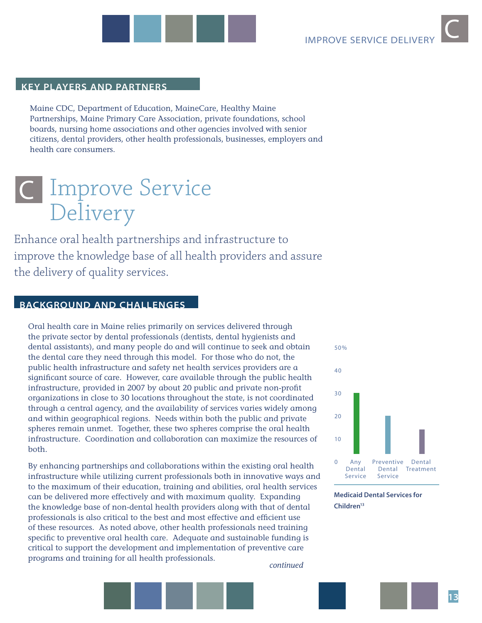

#### <span id="page-18-0"></span>Key Players and Partners

Maine CDC, Department of Education, MaineCare, Healthy Maine Partnerships, Maine Primary Care Association, private foundations, school boards, nursing home associations and other agencies involved with senior citizens, dental providers, other health professionals, businesses, employers and health care consumers.

# C Improve Service Delivery

Enhance oral health partnerships and infrastructure to improve the knowledge base of all health providers and assure the delivery of quality services.

#### Background and Challenges

Oral health care in Maine relies primarily on services delivered through the private sector by dental professionals (dentists, dental hygienists and dental assistants), and many people do and will continue to seek and obtain the dental care they need through this model. For those who do not, the public health infrastructure and safety net health services providers are a significant source of care. However, care available through the public health infrastructure, provided in 2007 by about 20 public and private non-profit organizations in close to 30 locations throughout the state, is not coordinated through a central agency, and the availability of services varies widely among and within geographical regions. Needs within both the public and private spheres remain unmet. Together, these two spheres comprise the oral health infrastructure. Coordination and collaboration can maximize the resources of both.

By enhancing partnerships and collaborations within the existing oral health infrastructure while utilizing current professionals both in innovative ways and to the maximum of their education, training and abilities, oral health services can be delivered more effectively and with maximum quality. Expanding the knowledge base of non-dental health providers along with that of dental professionals is also critical to the best and most effective and efficient use of these resources. As noted above, other health professionals need training specific to preventive oral health care. Adequate and sustainable funding is critical to support the development and implementation of preventive care programs and training for all health professionals.





*continued*

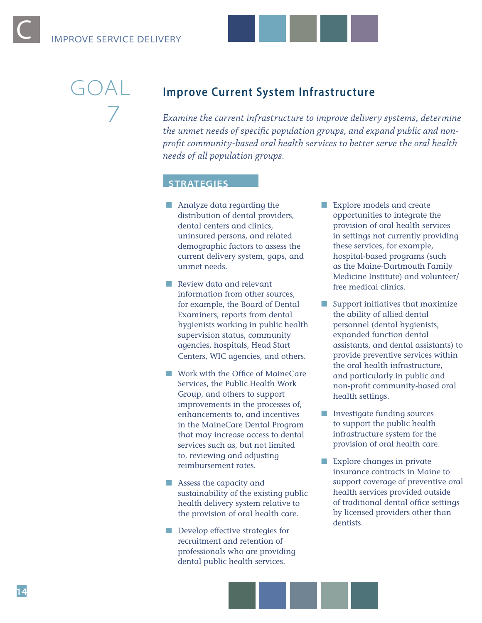#### <span id="page-19-0"></span>**IMPROVE SERVICE DELIVERY**

# $(A \cap C)$ 7

## Improve Current System Infrastructure

*Examine the current infrastructure to improve delivery systems, determine the unmet needs of specific population groups, and expand public and nonprofit community-based oral health services to better serve the oral health needs of all population groups.*

#### **STRATEGIES**

- Analyze data regarding the distribution of dental providers, dental centers and clinics, uninsured persons, and related demographic factors to assess the current delivery system, gaps, and unmet needs.
- Review data and relevant information from other sources, for example, the Board of Dental Examiners, reports from dental hygienists working in public health supervision status, community agencies, hospitals, Head Start Centers, WIC agencies, and others.
- Work with the Office of MaineCare Services, the Public Health Work Group, and others to support improvements in the processes of, enhancements to, and incentives in the MaineCare Dental Program that may increase access to dental services such as, but not limited to, reviewing and adjusting reimbursement rates.
- Assess the capacity and sustainability of the existing public health delivery system relative to the provision of oral health care.
- Develop effective strategies for recruitment and retention of professionals who are providing dental public health services. ■
- Explore models and create opportunities to integrate the provision of oral health services in settings not currently providing these services, for example, hospital-based programs (such as the Maine-Dartmouth Family Medicine Institute) and volunteer/ free medical clinics.
- Support initiatives that maximize the ability of allied dental personnel (dental hygienists, expanded function dental assistants, and dental assistants) to provide preventive services within the oral health infrastructure, and particularly in public and non-profit community-based oral health settings.
- Investigate funding sources to support the public health infrastructure system for the provision of oral health care.
- Explore changes in private insurance contracts in Maine to support coverage of preventive oral health services provided outside of traditional dental office settings by licensed providers other than dentists.

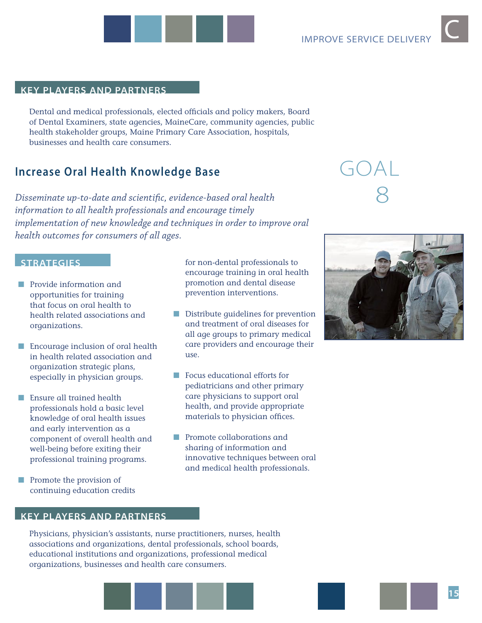

#### <span id="page-20-0"></span>Key Players and Partners

Dental and medical professionals, elected officials and policy makers, Board of Dental Examiners, state agencies, MaineCare, community agencies, public health stakeholder groups, Maine Primary Care Association, hospitals, businesses and health care consumers.

#### Increase Oral Health Knowledge Base

*Disseminate up-to-date and scientific, evidence-based oral health information to all health professionals and encourage timely implementation of new knowledge and techniques in order to improve oral health outcomes for consumers of all ages.* 

#### **STRATEGIES**

- Provide information and opportunities for training that focus on oral health to health related associations and organizations.
- Encourage inclusion of oral health in health related association and organization strategic plans, especially in physician groups.
- Ensure all trained health professionals hold a basic level knowledge of oral health issues and early intervention as a component of overall health and well-being before exiting their professional training programs.
- Promote the provision of continuing education credits

for non-dental professionals to encourage training in oral health promotion and dental disease prevention interventions.

- Distribute guidelines for prevention and treatment of oral diseases for all age groups to primary medical care providers and encourage their use.
- Focus educational efforts for pediatricians and other primary care physicians to support oral health, and provide appropriate materials to physician offices.
- Promote collaborations and sharing of information and innovative techniques between oral and medical health professionals.





#### Key Players and Partners

Physicians, physician's assistants, nurse practitioners, nurses, health associations and organizations, dental professionals, school boards, educational institutions and organizations, professional medical organizations, businesses and health care consumers.

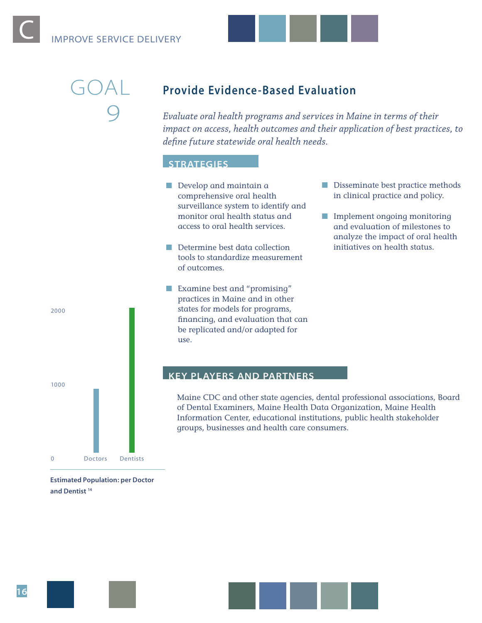

<span id="page-21-0"></span> GOAL 9

## Provide Evidence-Based Evaluation

*Evaluate oral health programs and services in Maine in terms of their impact on access, health outcomes and their application of best practices, to define future statewide oral health needs.* 

Maine CDC and other state agencies, dental professional associations, Board of Dental Examiners, Maine Health Data Organization, Maine Health Information Center, educational institutions, public health stakeholder

#### **STRATEGIES**

- Develop and maintain a comprehensive oral health surveillance system to identify and monitor oral health status and access to oral health services.
- Determine best data collection tools to standardize measurement of outcomes.
- Examine best and "promising" practices in Maine and in other states for models for programs, financing, and evaluation that can be replicated and/or adapted for use.

Key Players and Partners

groups, businesses and health care consumers.

- Disseminate best practice methods in clinical practice and policy.
- Implement ongoing monitoring and evaluation of milestones to analyze the impact of oral health initiatives on health status.



2000

Estimated Population: per Doctor and Dentist 14

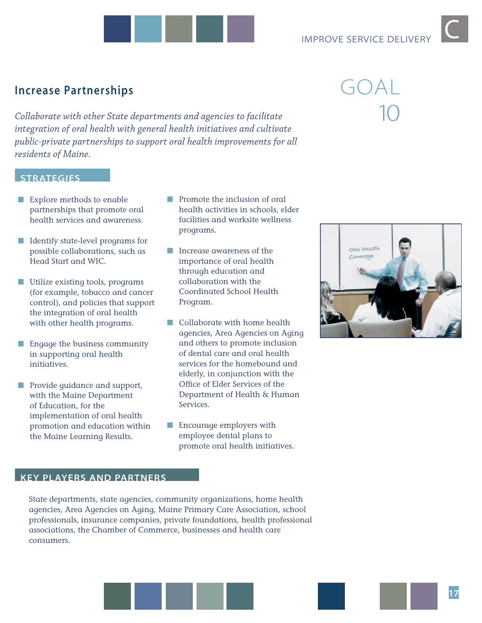## <span id="page-22-0"></span>Increase Partnerships

*Collaborate with other State departments and agencies to facilitate integration of oral health with general health initiatives and cultivate public-private partnerships to support oral health improvements for all residents of Maine.* 

# GOAL 10

#### **STRATEGIES**

- Explore methods to enable partnerships that promote oral health services and awareness.
- Identify state-level programs for possible collaborations, such as Head Start and WIC.
- Utilize existing tools, programs (for example, tobacco and cancer control), and policies that support the integration of oral health with other health programs.
- Engage the business community in supporting oral health initiatives.
- Provide guidance and support, with the Maine Department of Education, for the implementation of oral health promotion and education within the Maine Learning Results.
- Promote the inclusion of oral health activities in schools, elder facilities and worksite wellness programs.
- Increase awareness of the importance of oral health through education and collaboration with the Coordinated School Health Program.
- Collaborate with home health agencies, Area Agencies on Aging and others to promote inclusion of dental care and oral health services for the homebound and elderly, in conjunction with the Office of Elder Services of the Department of Health & Human Services.
- Encourage employers with employee dental plans to promote oral health initiatives.



#### Key Players and Partners

State departments, state agencies, community organizations, home health agencies, Area Agencies on Aging, Maine Primary Care Association, school professionals, insurance companies, private foundations, health professional associations, the Chamber of Commerce, businesses and health care consumers.

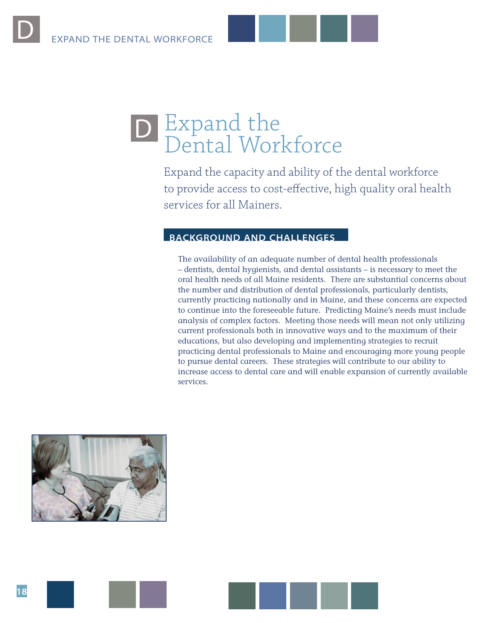# <span id="page-23-0"></span>D Expand the<br>Dental Workforce

Expand the capacity and ability of the dental workforce to provide access to cost-effective, high quality oral health services for all Mainers.

#### Background and Challenges

The availability of an adequate number of dental health professionals – dentists, dental hygienists, and dental assistants – is necessary to meet the oral health needs of all Maine residents. There are substantial concerns about the number and distribution of dental professionals, particularly dentists, currently practicing nationally and in Maine, and these concerns are expected to continue into the foreseeable future. Predicting Maine's needs must include analysis of complex factors. Meeting those needs will mean not only utilizing current professionals both in innovative ways and to the maximum of their educations, but also developing and implementing strategies to recruit practicing dental professionals to Maine and encouraging more young people to pursue dental careers. These strategies will contribute to our ability to increase access to dental care and will enable expansion of currently available services.

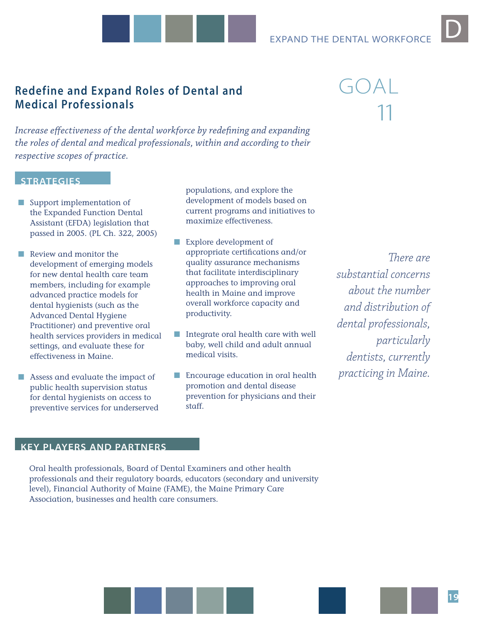## <span id="page-24-0"></span>Redefine and Expand Roles of Dental and Medical Professionals

# GOAL 11

*Increase effectiveness of the dental workforce by redefining and expanding the roles of dental and medical professionals, within and according to their respective scopes of practice.* 

#### **STRATEGIES**

- Support implementation of the Expanded Function Dental Assistant (EFDA) legislation that passed in 2005. (PL Ch. 322, 2005)
- Review and monitor the development of emerging models for new dental health care team members, including for example advanced practice models for dental hygienists (such as the Advanced Dental Hygiene Practitioner) and preventive oral health services providers in medical settings, and evaluate these for effectiveness in Maine.
- Assess and evaluate the impact of public health supervision status for dental hygienists on access to preventive services for underserved

populations, and explore the development of models based on current programs and initiatives to maximize effectiveness.

- Explore development of appropriate certifications and/or quality assurance mechanisms that facilitate interdisciplinary approaches to improving oral health in Maine and improve overall workforce capacity and productivity.
- Integrate oral health care with well baby, well child and adult annual medical visits. ■
- Encourage education in oral health promotion and dental disease prevention for physicians and their staff. ■

*There are substantial concerns about the number and distribution of dental professionals, particularly dentists, currently practicing in Maine.*

#### Key Players and Partners

Oral health professionals, Board of Dental Examiners and other health professionals and their regulatory boards, educators (secondary and university level), Financial Authority of Maine (FAME), the Maine Primary Care Association, businesses and health care consumers.

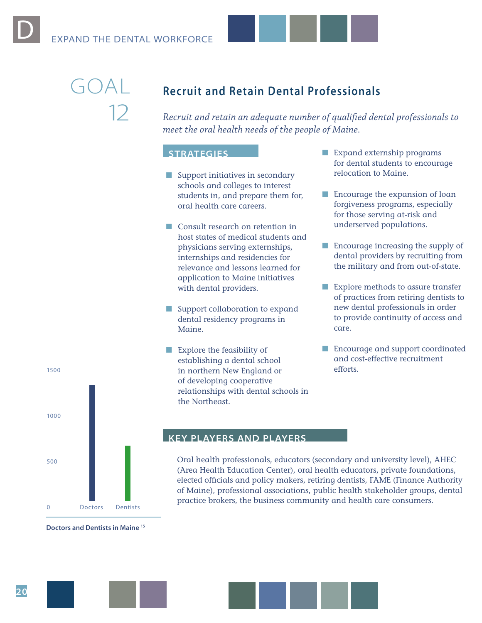<span id="page-25-0"></span> GOAL 12

## Recruit and Retain Dental Professionals

*Recruit and retain an adequate number of qualified dental professionals to meet the oral health needs of the people of Maine.* 

#### **STRATEGIES**

- Support initiatives in secondary schools and colleges to interest students in, and prepare them for, oral health care careers.
- Consult research on retention in host states of medical students and physicians serving externships, internships and residencies for relevance and lessons learned for application to Maine initiatives with dental providers.
- Support collaboration to expand dental residency programs in Maine.
- Explore the feasibility of establishing a dental school in northern New England or of developing cooperative relationships with dental schools in the Northeast.
- Expand externship programs for dental students to encourage relocation to Maine.
- Encourage the expansion of loan forgiveness programs, especially for those serving at-risk and underserved populations. ■
- Encourage increasing the supply of dental providers by recruiting from the military and from out-of-state.
- Explore methods to assure transfer of practices from retiring dentists to new dental professionals in order to provide continuity of access and care.
- Encourage and support coordinated and cost-effective recruitment efforts. ■



1500

Oral health professionals, educators (secondary and university level), AHEC (Area Health Education Center), oral health educators, private foundations, elected officials and policy makers, retiring dentists, FAME (Finance Authority of Maine), professional associations, public health stakeholder groups, dental practice brokers, the business community and health care consumers.

Key Players and Players

Doctors and Dentists in Maine 15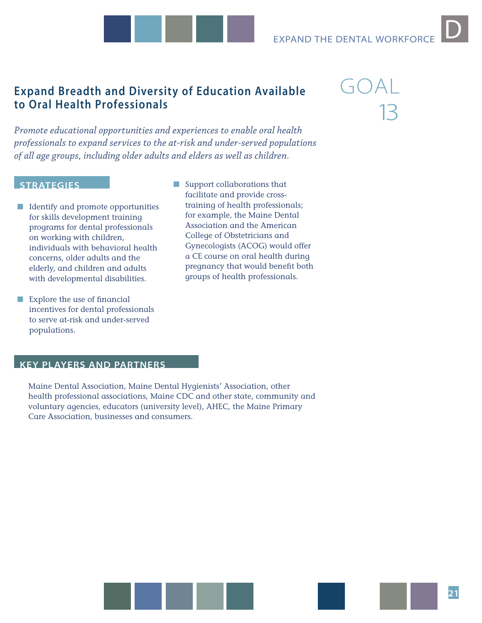## <span id="page-26-0"></span>Expand Breadth and Diversity of Education Available to Oral Health Professionals

# GOAL 13

*Promote educational opportunities and experiences to enable oral health professionals to expand services to the at-risk and under-served populations of all age groups, including older adults and elders as well as children.* 

#### **STRATEGIES**

- Identify and promote opportunities for skills development training programs for dental professionals on working with children, individuals with behavioral health concerns, older adults and the elderly, and children and adults with developmental disabilities.
- Explore the use of financial incentives for dental professionals to serve at-risk and under-served populations.
- Support collaborations that facilitate and provide crosstraining of health professionals; for example, the Maine Dental Association and the American College of Obstetricians and Gynecologists (ACOG) would offer a CE course on oral health during pregnancy that would benefit both groups of health professionals.

#### Key Players and Partners

Maine Dental Association, Maine Dental Hygienists' Association, other health professional associations, Maine CDC and other state, community and voluntary agencies, educators (university level), AHEC, the Maine Primary Care Association, businesses and consumers.

21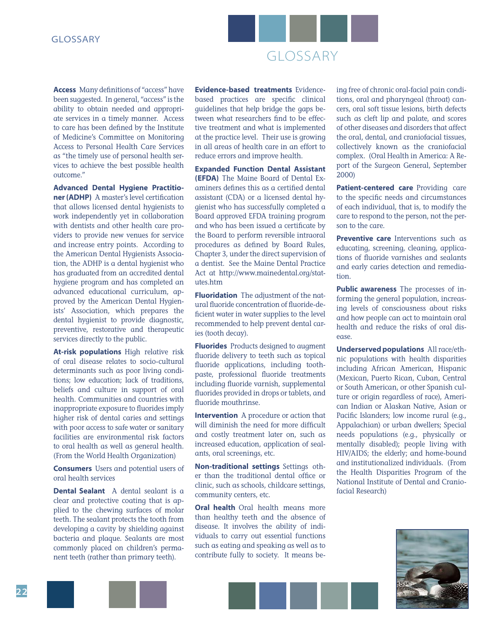#### <span id="page-27-0"></span>GLOSSARY



Access Many definitions of "access" have been suggested. In general, "access" is the ability to obtain needed and appropriate services in a timely manner. Access to care has been defined by the Institute of Medicine's Committee on Monitoring Access to Personal Health Care Services as "the timely use of personal health services to achieve the best possible health outcome."

Advanced Dental Hygiene Practitioner (ADHP) A master's level certification that allows licensed dental hygienists to work independently yet in collaboration with dentists and other health care providers to provide new venues for service and increase entry points. According to the American Dental Hygienists Association, the ADHP is a dental hygienist who has graduated from an accredited dental hygiene program and has completed an advanced educational curriculum, approved by the American Dental Hygienists' Association, which prepares the dental hygienist to provide diagnostic, preventive, restorative and therapeutic services directly to the public.

At-risk populations High relative risk of oral disease relates to socio-cultural determinants such as poor living conditions; low education; lack of traditions, beliefs and culture in support of oral health. Communities and countries with inappropriate exposure to fluorides imply higher risk of dental caries and settings with poor access to safe water or sanitary facilities are environmental risk factors to oral health as well as general health. (From the World Health Organization)

Consumers Users and potential users of oral health services

Dental Sealant A dental sealant is a clear and protective coating that is applied to the chewing surfaces of molar teeth. The sealant protects the tooth from developing a cavity by shielding against bacteria and plaque. Sealants are most commonly placed on children's permanent teeth (rather than primary teeth).

Evidence-based treatments Evidencebased practices are specific clinical guidelines that help bridge the gaps between what researchers find to be effective treatment and what is implemented at the practice level. Their use is growing in all areas of health care in an effort to reduce errors and improve health.

Expanded Function Dental Assistant (EFDA) The Maine Board of Dental Examiners defines this as a certified dental assistant (CDA) or a licensed dental hygienist who has successfully completed a Board approved EFDA training program and who has been issued a certificate by the Board to perform reversible intraoral procedures as defined by Board Rules, Chapter 3, under the direct supervision of a dentist. See the Maine Dental Practice Act at http://www.mainedental.org/statutes.htm

Fluoridation The adjustment of the natural fluoride concentration of fluoride-deficient water in water supplies to the level recommended to help prevent dental caries (tooth decay).

**Fluorides** Products designed to augment fluoride delivery to teeth such as topical fluoride applications, including toothpaste, professional fluoride treatments including fluoride varnish, supplemental fluorides provided in drops or tablets, and fluoride mouthrinse.

Intervention A procedure or action that will diminish the need for more difficult and costly treatment later on, such as increased education, application of sealants, oral screenings, etc.

Non-traditional settings Settings other than the traditional dental office or clinic, such as schools, childcare settings, community centers, etc.

Oral health Oral health means more than healthy teeth and the absence of disease. It involves the ability of individuals to carry out essential functions such as eating and speaking as well as to contribute fully to society. It means being free of chronic oral-facial pain conditions, oral and pharyngeal (throat) cancers, oral soft tissue lesions, birth defects such as cleft lip and palate, and scores of other diseases and disorders that affect the oral, dental, and craniofacial tissues, collectively known as the craniofacial complex. (Oral Health in America: A Report of the Surgeon General, September 2000)

Patient-centered care Providing care to the specific needs and circumstances of each individual, that is, to modify the care to respond to the person, not the person to the care.

**Preventive care** Interventions such as educating, screening, cleaning, applications of fluoride varnishes and sealants and early caries detection and remediation.

Public awareness The processes of informing the general population, increasing levels of consciousness about risks and how people can act to maintain oral health and reduce the risks of oral disease.

Underserved populations All race/ethnic populations with health disparities including African American, Hispanic (Mexican, Puerto Rican, Cuban, Central or South American, or other Spanish culture or origin regardless of race), American Indian or Alaskan Native, Asian or Pacific Islanders; low income rural (e.g., Appalachian) or urban dwellers; Special needs populations (e.g., physically or mentally disabled); people living with HIV/AIDS; the elderly; and home-bound and institutionalized individuals. (From the Health Disparities Program of the National Institute of Dental and Craniofacial Research)

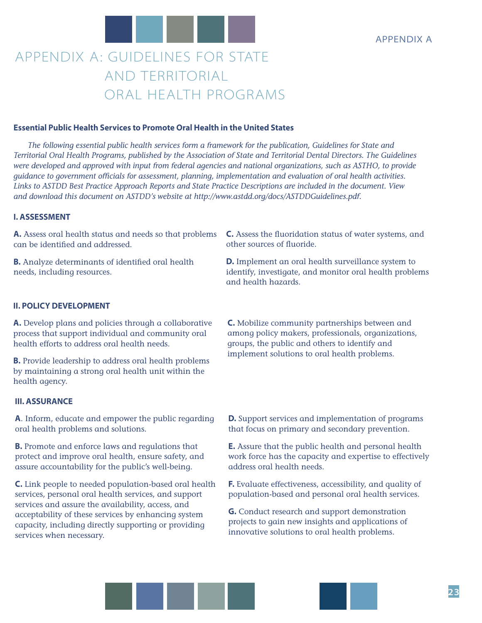# <span id="page-28-0"></span>APPENDIX A: GUIDELINES FOR STATE AND TERRITORIAL ORAL HEALTH PROGRAMS

#### Essential Public Health Services to Promote Oral Health in the United States

*The following essential public health services form a framework for the publication, Guidelines for State and Territorial Oral Health Programs, published by the Association of State and Territorial Dental Directors. The Guidelines were developed and approved with input from federal agencies and national organizations, such as ASTHO, to provide guidance to government officials for assessment, planning, implementation and evaluation of oral health activities. Links to ASTDD Best Practice Approach Reports and State Practice Descriptions are included in the document. View and download this document on ASTDD's website at http://www.astdd.org/docs/ASTDDGuidelines.pdf.* 

#### I. Assessment

A. Assess oral health status and needs so that problems can be identified and addressed.

B. Analyze determinants of identified oral health needs, including resources.

II. Policy Development

A. Develop plans and policies through a collaborative process that support individual and community oral health efforts to address oral health needs.

B. Provide leadership to address oral health problems by maintaining a strong oral health unit within the health agency.

#### III. Assurance

A. Inform, educate and empower the public regarding oral health problems and solutions.

B. Promote and enforce laws and regulations that protect and improve oral health, ensure safety, and assure accountability for the public's well-being.

C. Link people to needed population-based oral health services, personal oral health services, and support services and assure the availability, access, and acceptability of these services by enhancing system capacity, including directly supporting or providing services when necessary.

C. Assess the fluoridation status of water systems, and other sources of fluoride.

D. Implement an oral health surveillance system to identify, investigate, and monitor oral health problems and health hazards.

C. Mobilize community partnerships between and among policy makers, professionals, organizations, groups, the public and others to identify and implement solutions to oral health problems.

D. Support services and implementation of programs that focus on primary and secondary prevention.

E. Assure that the public health and personal health work force has the capacity and expertise to effectively address oral health needs.

F. Evaluate effectiveness, accessibility, and quality of population-based and personal oral health services.

G. Conduct research and support demonstration projects to gain new insights and applications of innovative solutions to oral health problems.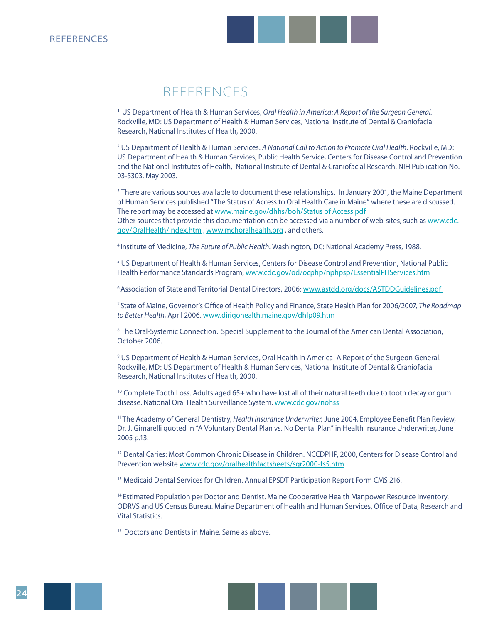

## REFERENCES

<span id="page-29-0"></span><sup>1</sup> US Department of Health & Human Services, *Oral Health in America: A Report of the Surgeon General.* Rockville, MD: US Department of Health & Human Services, National Institute of Dental & Craniofacial Research, National Institutes of Health, 2000.

2 US Department of Health & Human Services. *A National Call to Action to Promote Oral Health*. Rockville, MD: US Department of Health & Human Services, Public Health Service, Centers for Disease Control and Prevention and the National Institutes of Health, National Institute of Dental & Craniofacial Research. NIH Publication No. 03-5303, May 2003.

3 There are various sources available to document these relationships. In January 2001, the Maine Department of Human Services published "The Status of Access to Oral Health Care in Maine" where these are discussed. The report may be accessed at [www.maine.gov/dhhs/boh/Status of Access.pdf](/dhhs/boh/Status of Access.pdf) Other sources that provide this documentation can be accessed via a number of web-sites, such as [www.cdc.](www.cdc.gov/OralHealth/index.htm) [gov/OralHealth/index.htm](www.cdc.gov/OralHealth/index.htm) ,<www.mchoralhealth.org>, and others.

4 Institute of Medicine, *The Future of Public Health*. Washington, DC: National Academy Press, 1988.

5 US Department of Health & Human Services, Centers for Disease Control and Prevention, National Public Health Performance Standards Program,<www.cdc.gov/od/ocphp/nphpsp/EssentialPHServices.htm>

6 Association of State and Territorial Dental Directors, 2006: [www.astdd.org/docs/ASTDDGuidelines.pdf](www.electron-design.com)

7 State of Maine, Governor's Office of Health Policy and Finance, State Health Plan for 2006/2007, *The Roadmap to Better Health*, April 2006.<www.dirigohealth.maine.gov/dhlp09.htm>

8 The Oral-Systemic Connection. Special Supplement to the Journal of the American Dental Association, October 2006.

9 US Department of Health & Human Services, Oral Health in America: A Report of the Surgeon General. Rockville, MD: US Department of Health & Human Services, National Institute of Dental & Craniofacial Research, National Institutes of Health, 2000.

<sup>10</sup> Complete Tooth Loss. Adults aged 65+ who have lost all of their natural teeth due to tooth decay or gum disease. National Oral Health Surveillance System.<www.cdc.gov/nohss>

11 The Academy of General Dentistry, *Health Insurance Underwriter,* June 2004, Employee Benefit Plan Review, Dr. J. Gimarelli quoted in "A Voluntary Dental Plan vs. No Dental Plan" in Health Insurance Underwriter, June 2005 p.13.

12 Dental Caries: Most Common Chronic Disease in Children. NCCDPHP, 2000, Centers for Disease Control and Prevention website <www.cdc.gov/oralhealthfactsheets/sgr2000-fs5.htm>

<sup>13</sup> Medicaid Dental Services for Children. Annual EPSDT Participation Report Form CMS 216.

<sup>14</sup> Estimated Population per Doctor and Dentist. Maine Cooperative Health Manpower Resource Inventory, ODRVS and US Census Bureau. Maine Department of Health and Human Services, Office of Data, Research and Vital Statistics.

<sup>15</sup> Doctors and Dentists in Maine. Same as above.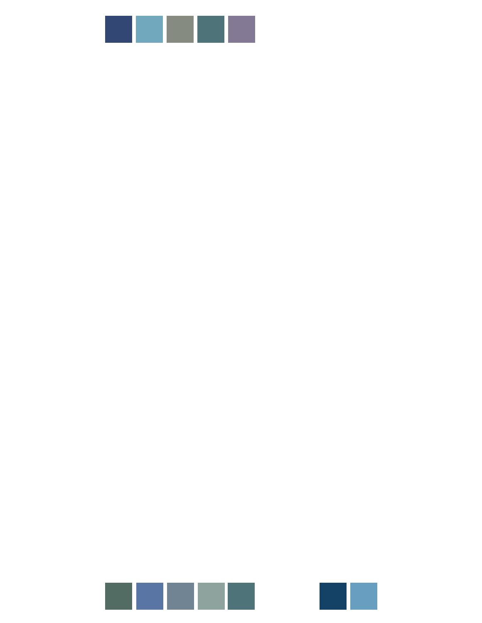

- 1